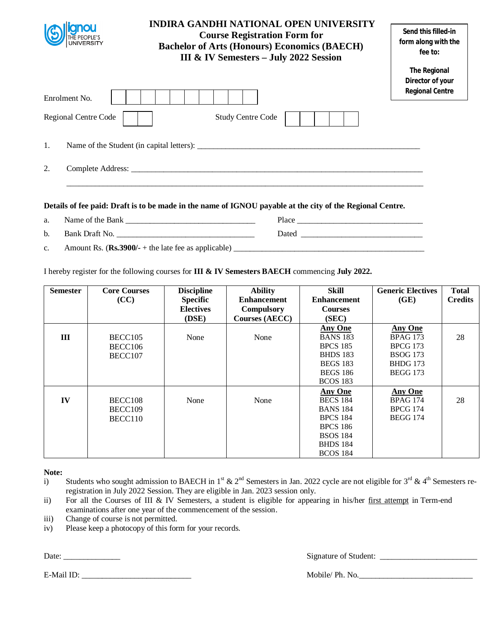|                                       | <b>INDIRA GANDHI NATIONAL OPEN UNIVERSITY</b><br><b>Course Registration Form for</b><br><b>Bachelor of Arts (Honours) Economics (BAECH)</b><br>III & IV Semesters - July 2022 Session | Send this filled-in<br>form along with the<br>fee to:<br><b>The Regional</b><br>Director of your |
|---------------------------------------|---------------------------------------------------------------------------------------------------------------------------------------------------------------------------------------|--------------------------------------------------------------------------------------------------|
| Enrolment No.<br>Regional Centre Code | <b>Study Centre Code</b>                                                                                                                                                              | <b>Regional Centre</b>                                                                           |
| 1.                                    |                                                                                                                                                                                       |                                                                                                  |
| 2.                                    |                                                                                                                                                                                       |                                                                                                  |
|                                       | Details of fee paid: Draft is to be made in the name of IGNOU payable at the city of the Regional Centre.                                                                             |                                                                                                  |
| a.                                    |                                                                                                                                                                                       |                                                                                                  |

- a. Name of the Bank  $\frac{1}{2}$  and  $\frac{1}{2}$  and  $\frac{1}{2}$  and  $\frac{1}{2}$  and  $\frac{1}{2}$  and  $\frac{1}{2}$  and  $\frac{1}{2}$  and  $\frac{1}{2}$  and  $\frac{1}{2}$  and  $\frac{1}{2}$  and  $\frac{1}{2}$  and  $\frac{1}{2}$  and  $\frac{1}{2}$  and  $\frac{1}{2}$  and  $\frac{1$ b. Bank Draft No. 2008 and Dated 2008 and Dated 2008 and Dated 2008 and Dated 2008 and Dated 2008 and Dated 2008 and Dated 2008 and Dated 2008 and Dated 2008 and Dated 2008 and Dated 2008 and Dated 2008 and Dated 2008 and
- c. Amount Rs.  $(\mathbf{Rs.3900/-} + \text{the late fee as applicable})$

I hereby register for the following courses for **III & IV Semesters BAECH** commencing **July 2022.** 

| <b>Semester</b> | <b>Core Courses</b> | <b>Discipline</b> | <b>Ability</b>        | Skill              | <b>Generic Electives</b> | <b>Total</b>   |
|-----------------|---------------------|-------------------|-----------------------|--------------------|--------------------------|----------------|
|                 | (CC)                | <b>Specific</b>   | <b>Enhancement</b>    | <b>Enhancement</b> | (GE)                     | <b>Credits</b> |
|                 |                     | <b>Electives</b>  | <b>Compulsory</b>     | <b>Courses</b>     |                          |                |
|                 |                     | (DSE)             | <b>Courses (AECC)</b> | (SEC)              |                          |                |
|                 |                     |                   |                       | <b>Any One</b>     | <b>Any One</b>           |                |
| III             | BECC105             | None              | None                  | <b>BANS 183</b>    | <b>BPAG 173</b>          | 28             |
|                 | BECC106             |                   |                       | <b>BPCS 185</b>    | <b>BPCG 173</b>          |                |
|                 | BECC107             |                   |                       | <b>BHDS</b> 183    | <b>BSOG</b> 173          |                |
|                 |                     |                   |                       | <b>BEGS 183</b>    | <b>BHDG</b> 173          |                |
|                 |                     |                   |                       | <b>BEGS 186</b>    | <b>BEGG 173</b>          |                |
|                 |                     |                   |                       | <b>BCOS 183</b>    |                          |                |
|                 |                     |                   |                       | <b>Any One</b>     | <b>Any One</b>           |                |
| IV              | BECC108             | None              | None                  | <b>BECS 184</b>    | <b>BPAG 174</b>          | 28             |
|                 | BECC109             |                   |                       | <b>BANS 184</b>    | <b>BPCG 174</b>          |                |
|                 | BECC110             |                   |                       | <b>BPCS 184</b>    | <b>BEGG 174</b>          |                |
|                 |                     |                   |                       | <b>BPCS 186</b>    |                          |                |
|                 |                     |                   |                       | <b>BSOS 184</b>    |                          |                |
|                 |                     |                   |                       | <b>BHDS 184</b>    |                          |                |
|                 |                     |                   |                       | <b>BCOS 184</b>    |                          |                |

**Note:**

- ii) For all the Courses of III & IV Semesters, a student is eligible for appearing in his/her first attempt in Term-end examinations after one year of the commencement of the session.
- iii) Change of course is not permitted.
- iv) Please keep a photocopy of this form for your records.

Date: \_\_\_\_\_\_\_\_\_\_\_\_\_\_ Signature of Student: \_\_\_\_\_\_\_\_\_\_\_\_\_\_\_\_\_\_\_\_\_\_\_\_

i) Students who sought admission to BAECH in 1<sup>st</sup> & 2<sup>nd</sup> Semesters in Jan. 2022 cycle are not eligible for 3<sup>rd</sup> & 4<sup>th</sup> Semesters reregistration in July 2022 Session. They are eligible in Jan. 2023 session only.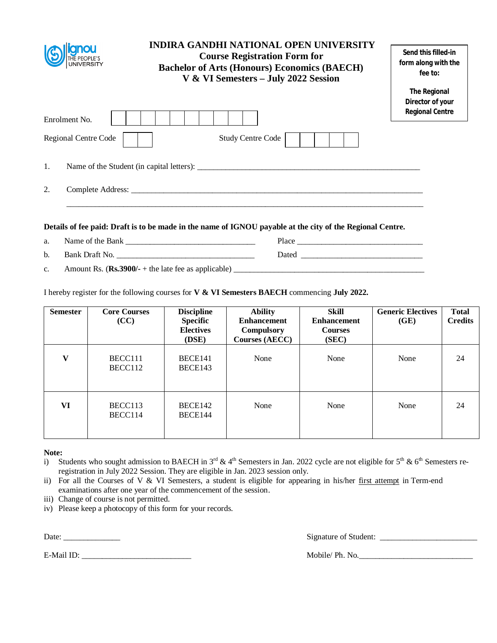|                      | <b>INDIRA GANDHI NATIONAL OPEN UNIVERSITY</b><br><b>Course Registration Form for</b><br><b>Bachelor of Arts (Honours) Economics (BAECH)</b><br>V & VI Semesters - July 2022 Session | Send this filled-in<br>form along with the<br>fee to:<br><b>The Regional</b><br>Director of your |
|----------------------|-------------------------------------------------------------------------------------------------------------------------------------------------------------------------------------|--------------------------------------------------------------------------------------------------|
| Enrolment No.        |                                                                                                                                                                                     | <b>Regional Centre</b>                                                                           |
| Regional Centre Code | Study Centre Code                                                                                                                                                                   |                                                                                                  |
| $\mathbf{1}$ .       | Name of the Student (in capital letters):                                                                                                                                           |                                                                                                  |
| 2.                   |                                                                                                                                                                                     |                                                                                                  |
|                      | Details of fee paid: Draft is to be made in the name of IGNOU payable at the city of the Regional Centre.                                                                           |                                                                                                  |
| a.                   |                                                                                                                                                                                     |                                                                                                  |

b. Bank Draft No. \_\_\_\_\_\_\_\_\_\_\_\_\_\_\_\_\_\_\_\_\_\_\_\_\_\_\_\_\_\_\_\_\_\_ Dated \_\_\_\_\_\_\_\_\_\_\_\_\_\_\_\_\_\_\_\_\_\_\_\_\_\_\_\_\_\_

c. Amount Rs.  $(\mathbf{Rs.3900/-} + \text{the late fee as applicable})$ 

I hereby register for the following courses for **V & VI Semesters BAECH** commencing **July 2022.** 

| <b>Semester</b> | <b>Core Courses</b><br>(CC) | <b>Discipline</b><br><b>Specific</b><br><b>Electives</b><br>(DSE) | <b>Ability</b><br><b>Enhancement</b><br><b>Compulsory</b><br><b>Courses (AECC)</b> | Skill<br><b>Enhancement</b><br><b>Courses</b><br>(SEC) | <b>Generic Electives</b><br>(GE) | <b>Total</b><br><b>Credits</b> |
|-----------------|-----------------------------|-------------------------------------------------------------------|------------------------------------------------------------------------------------|--------------------------------------------------------|----------------------------------|--------------------------------|
| $\mathbf{V}$    | BECC111<br>BECC112          | BECE141<br>BECE143                                                | None                                                                               | None                                                   | None                             | 24                             |
| VI              | BECC113<br>BECC114          | BECE142<br>BECE144                                                | None                                                                               | None                                                   | None                             | 24                             |

**Note:**

- i) Students who sought admission to BAECH in  $3^{rd}$  & 4<sup>th</sup> Semesters in Jan. 2022 cycle are not eligible for  $5^{th}$  & 6<sup>th</sup> Semesters reregistration in July 2022 Session. They are eligible in Jan. 2023 session only.
- ii) For all the Courses of V & VI Semesters, a student is eligible for appearing in his/her  $\frac{first\text{ attempt}}{}$  in Term-end examinations after one year of the commencement of the session.
- iii) Change of course is not permitted.
- iv) Please keep a photocopy of this form for your records.

E-Mail ID: \_\_\_\_\_\_\_\_\_\_\_\_\_\_\_\_\_\_\_\_\_\_\_\_\_\_\_ Mobile/ Ph. No.\_\_\_\_\_\_\_\_\_\_\_\_\_\_\_\_\_\_\_\_\_\_\_\_\_\_\_\_

Date: \_\_\_\_\_\_\_\_\_\_\_\_\_\_ Signature of Student: \_\_\_\_\_\_\_\_\_\_\_\_\_\_\_\_\_\_\_\_\_\_\_\_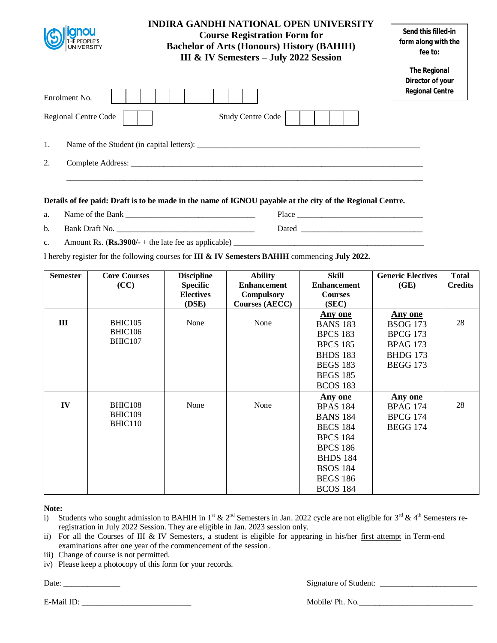| <b>INDIRA GANDHI NATIONAL OPEN UNIVERSITY</b><br><b>Course Registration Form for</b><br><b>Bachelor of Arts (Honours) History (BAHIH)</b><br>III & IV Semesters - July 2022 Session |                                           | Send this filled-in<br>form along with the<br>fee to:             |
|-------------------------------------------------------------------------------------------------------------------------------------------------------------------------------------|-------------------------------------------|-------------------------------------------------------------------|
| Enrolment No.                                                                                                                                                                       |                                           | <b>The Regional</b><br>Director of your<br><b>Regional Centre</b> |
| Regional Centre Code                                                                                                                                                                | <b>Study Centre Code</b>                  |                                                                   |
| 1.                                                                                                                                                                                  | Name of the Student (in capital letters): |                                                                   |
| 2.                                                                                                                                                                                  |                                           |                                                                   |

- a. Name of the Bank \_\_\_\_\_\_\_\_\_\_\_\_\_\_\_\_\_\_\_\_\_\_\_\_\_\_\_\_\_\_\_\_ Place \_\_\_\_\_\_\_\_\_\_\_\_\_\_\_\_\_\_\_\_\_\_\_\_\_\_\_\_\_\_\_
- b. Bank Draft No. \_\_\_\_\_\_\_\_\_\_\_\_\_\_\_\_\_\_\_\_\_\_\_\_\_\_\_\_\_\_\_\_\_\_ Dated \_\_\_\_\_\_\_\_\_\_\_\_\_\_\_\_\_\_\_\_\_\_\_\_\_\_\_\_\_\_
- c. Amount Rs.  $(\mathbf{Rs.3900/-} + \text{the late fee as applicable})$

I hereby register for the following courses for **III & IV Semesters BAHIH** commencing **July 2022.** 

| <b>Semester</b> | <b>Core Courses</b> | <b>Discipline</b> | <b>Ability</b>        | <b>Skill</b>       | <b>Generic Electives</b> | <b>Total</b>   |
|-----------------|---------------------|-------------------|-----------------------|--------------------|--------------------------|----------------|
|                 | (CC)                | <b>Specific</b>   | <b>Enhancement</b>    | <b>Enhancement</b> | (GE)                     | <b>Credits</b> |
|                 |                     | <b>Electives</b>  | Compulsory            | <b>Courses</b>     |                          |                |
|                 |                     | (DSE)             | <b>Courses (AECC)</b> | (SEC)              |                          |                |
|                 |                     |                   |                       | <b>Any one</b>     | <b>Any one</b>           |                |
| III             | <b>BHIC105</b>      | None              | None                  | <b>BANS 183</b>    | <b>BSOG</b> 173          | 28             |
|                 | <b>BHIC106</b>      |                   |                       | <b>BPCS 183</b>    | <b>BPCG 173</b>          |                |
|                 | BHIC107             |                   |                       | <b>BPCS 185</b>    | <b>BPAG 173</b>          |                |
|                 |                     |                   |                       | <b>BHDS 183</b>    | <b>BHDG 173</b>          |                |
|                 |                     |                   |                       | <b>BEGS 183</b>    | <b>BEGG 173</b>          |                |
|                 |                     |                   |                       | <b>BEGS 185</b>    |                          |                |
|                 |                     |                   |                       | <b>BCOS 183</b>    |                          |                |
|                 |                     |                   |                       | Any one            | Any one                  |                |
| IV              | BHIC108             | None              | None                  | <b>BPAS 184</b>    | <b>BPAG 174</b>          | 28             |
|                 | BHIC109             |                   |                       | <b>BANS 184</b>    | <b>BPCG 174</b>          |                |
|                 | BHIC110             |                   |                       | <b>BECS 184</b>    | <b>BEGG 174</b>          |                |
|                 |                     |                   |                       | <b>BPCS 184</b>    |                          |                |
|                 |                     |                   |                       | <b>BPCS 186</b>    |                          |                |
|                 |                     |                   |                       | <b>BHDS 184</b>    |                          |                |
|                 |                     |                   |                       | <b>BSOS 184</b>    |                          |                |
|                 |                     |                   |                       | <b>BEGS 186</b>    |                          |                |
|                 |                     |                   |                       | <b>BCOS 184</b>    |                          |                |

**Note:**

- i) Students who sought admission to BAHIH in 1<sup>st</sup> & 2<sup>nd</sup> Semesters in Jan. 2022 cycle are not eligible for 3<sup>rd</sup> & 4<sup>th</sup> Semesters reregistration in July 2022 Session. They are eligible in Jan. 2023 session only.
- ii) For all the Courses of III & IV Semesters, a student is eligible for appearing in his/her first attempt in Term-end examinations after one year of the commencement of the session.
- iii) Change of course is not permitted.
- iv) Please keep a photocopy of this form for your records.

Date: \_\_\_\_\_\_\_\_\_\_\_\_\_\_ Signature of Student: \_\_\_\_\_\_\_\_\_\_\_\_\_\_\_\_\_\_\_\_\_\_\_\_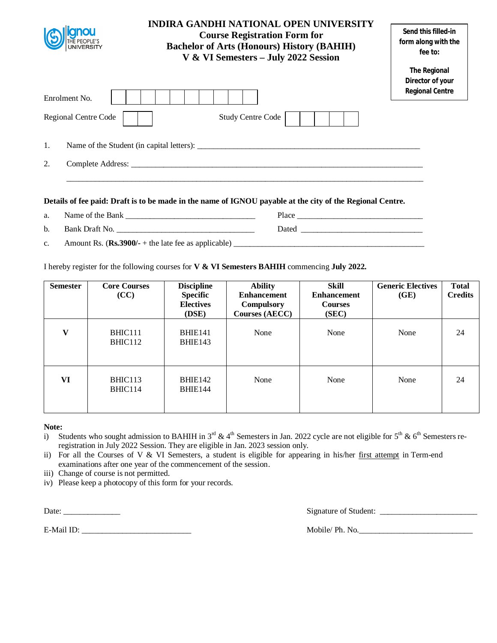|                      | INDIRA GANDHI NATIONAL OPEN UNIVERSITY<br><b>Course Registration Form for</b><br><b>Bachelor of Arts (Honours) History (BAHIH)</b><br>V & VI Semesters - July 2022 Session | Send this filled-in<br>form along with the<br>fee to:             |
|----------------------|----------------------------------------------------------------------------------------------------------------------------------------------------------------------------|-------------------------------------------------------------------|
| Enrolment No.        |                                                                                                                                                                            | <b>The Regional</b><br>Director of your<br><b>Regional Centre</b> |
| Regional Centre Code | <b>Study Centre Code</b>                                                                                                                                                   |                                                                   |
| 1.                   | Name of the Student (in capital letters):                                                                                                                                  |                                                                   |
| 2.                   | Complete Address:                                                                                                                                                          |                                                                   |

- a. Name of the Bank Place
- b. Bank Draft No. \_\_\_\_\_\_\_\_\_\_\_\_\_\_\_\_\_\_\_\_\_\_\_\_\_\_\_\_\_\_\_\_\_\_ Dated \_\_\_\_\_\_\_\_\_\_\_\_\_\_\_\_\_\_\_\_\_\_\_\_\_\_\_\_\_\_
- c. Amount Rs.  $(\mathbf{Rs.3900/-} + \text{the late fee as applicable})$

I hereby register for the following courses for **V & VI Semesters BAHIH** commencing **July 2022.** 

| <b>Semester</b> | <b>Core Courses</b><br>(CC) | <b>Discipline</b><br><b>Specific</b><br><b>Electives</b><br>(DSE) | <b>Ability</b><br><b>Enhancement</b><br><b>Compulsory</b><br><b>Courses (AECC)</b> | Skill<br><b>Enhancement</b><br><b>Courses</b><br>(SEC) | <b>Generic Electives</b><br>(GE) | <b>Total</b><br><b>Credits</b> |
|-----------------|-----------------------------|-------------------------------------------------------------------|------------------------------------------------------------------------------------|--------------------------------------------------------|----------------------------------|--------------------------------|
| $\mathbf{V}$    | BHIC111<br>BHIC112          | <b>BHIE141</b><br>BHIE143                                         | None                                                                               | None                                                   | None                             | 24                             |
| VI              | BHIC113<br>BHIC114          | BHIE142<br><b>BHIE144</b>                                         | None                                                                               | None                                                   | None                             | 24                             |

## **Note:**

- i) Students who sought admission to BAHIH in  $3<sup>rd</sup>$  & 4<sup>th</sup> Semesters in Jan. 2022 cycle are not eligible for  $5<sup>th</sup>$  & 6<sup>th</sup> Semesters reregistration in July 2022 Session. They are eligible in Jan. 2023 session only.
- ii) For all the Courses of V & VI Semesters, a student is eligible for appearing in his/her first attempt in Term-end examinations after one year of the commencement of the session.
- iii) Change of course is not permitted.
- iv) Please keep a photocopy of this form for your records.

Date: \_\_\_\_\_\_\_\_\_\_\_\_\_\_ Signature of Student: \_\_\_\_\_\_\_\_\_\_\_\_\_\_\_\_\_\_\_\_\_\_\_\_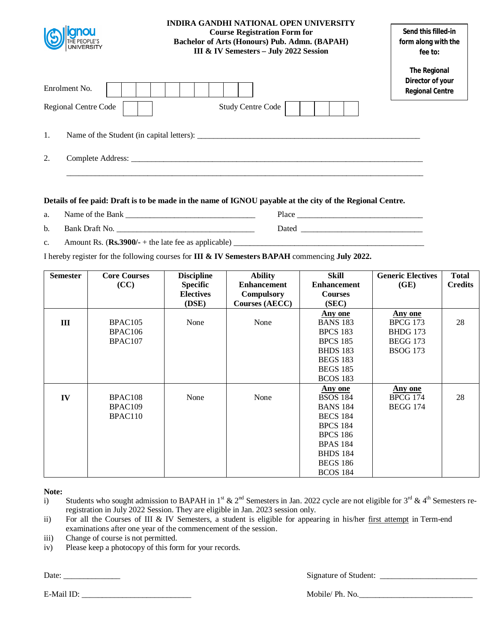| THE PEOPLE'S<br>UNIVERSITY                   | INDIRA GANDHI NATIONAL OPEN UNIVERSITY<br><b>Course Registration Form for</b><br>Bachelor of Arts (Honours) Pub. Admn. (BAPAH)<br>III & IV Semesters - July 2022 Session | Send this filled-in<br>form along with the<br>fee to:             |
|----------------------------------------------|--------------------------------------------------------------------------------------------------------------------------------------------------------------------------|-------------------------------------------------------------------|
| Enrolment No.<br><b>Regional Centre Code</b> | <b>Study Centre Code</b>                                                                                                                                                 | <b>The Regional</b><br>Director of your<br><b>Regional Centre</b> |
| 1.                                           |                                                                                                                                                                          |                                                                   |
| 2.                                           |                                                                                                                                                                          |                                                                   |

a. Name of the Bank **Department** Place

b. Bank Draft No. \_\_\_\_\_\_\_\_\_\_\_\_\_\_\_\_\_\_\_\_\_\_\_\_\_\_\_\_\_\_\_\_\_\_ Dated \_\_\_\_\_\_\_\_\_\_\_\_\_\_\_\_\_\_\_\_\_\_\_\_\_\_\_\_\_\_

c. Amount Rs.  $(\mathbf{Rs.3900/-} + \text{the late fee as applicable})$ 

I hereby register for the following courses for **III & IV Semesters BAPAH** commencing **July 2022.** 

| <b>Semester</b> | <b>Core Courses</b> | <b>Discipline</b> | <b>Ability</b>        | <b>Skill</b>       | <b>Generic Electives</b> | <b>Total</b>   |
|-----------------|---------------------|-------------------|-----------------------|--------------------|--------------------------|----------------|
|                 | (CC)                | <b>Specific</b>   | <b>Enhancement</b>    | <b>Enhancement</b> | (GE)                     | <b>Credits</b> |
|                 |                     | <b>Electives</b>  | Compulsory            | <b>Courses</b>     |                          |                |
|                 |                     | (DSE)             | <b>Courses (AECC)</b> | (SEC)              |                          |                |
|                 |                     |                   |                       | Any one            | Any one                  |                |
| Ш               | BPAC105             | None              | None                  | <b>BANS 183</b>    | <b>BPCG 173</b>          | 28             |
|                 | BPAC106             |                   |                       | <b>BPCS 183</b>    | <b>BHDG 173</b>          |                |
|                 | BPAC107             |                   |                       | <b>BPCS 185</b>    | <b>BEGG 173</b>          |                |
|                 |                     |                   |                       | <b>BHDS 183</b>    | <b>BSOG 173</b>          |                |
|                 |                     |                   |                       | <b>BEGS 183</b>    |                          |                |
|                 |                     |                   |                       | <b>BEGS 185</b>    |                          |                |
|                 |                     |                   |                       | <b>BCOS 183</b>    |                          |                |
|                 |                     |                   |                       | Any one            | Any one                  |                |
| IV              | BPAC108             | None              | None                  | <b>BSOS 184</b>    | <b>BPCG 174</b>          | 28             |
|                 | BPAC109             |                   |                       | <b>BANS 184</b>    | <b>BEGG 174</b>          |                |
|                 | BPAC110             |                   |                       | <b>BECS 184</b>    |                          |                |
|                 |                     |                   |                       | <b>BPCS 184</b>    |                          |                |
|                 |                     |                   |                       | <b>BPCS 186</b>    |                          |                |
|                 |                     |                   |                       | <b>BPAS 184</b>    |                          |                |
|                 |                     |                   |                       | <b>BHDS 184</b>    |                          |                |
|                 |                     |                   |                       | <b>BEGS 186</b>    |                          |                |
|                 |                     |                   |                       | <b>BCOS 184</b>    |                          |                |

**Note:**

i) Students who sought admission to BAPAH in 1<sup>st</sup> & 2<sup>nd</sup> Semesters in Jan. 2022 cycle are not eligible for 3<sup>rd</sup> & 4<sup>th</sup> Semesters reregistration in July 2022 Session. They are eligible in Jan. 2023 session only.

- ii) For all the Courses of III & IV Semesters, a student is eligible for appearing in his/her first attempt in Term-end examinations after one year of the commencement of the session.
- iii) Change of course is not permitted.
- iv) Please keep a photocopy of this form for your records.

Date: \_\_\_\_\_\_\_\_\_\_\_\_\_\_ Signature of Student: \_\_\_\_\_\_\_\_\_\_\_\_\_\_\_\_\_\_\_\_\_\_\_\_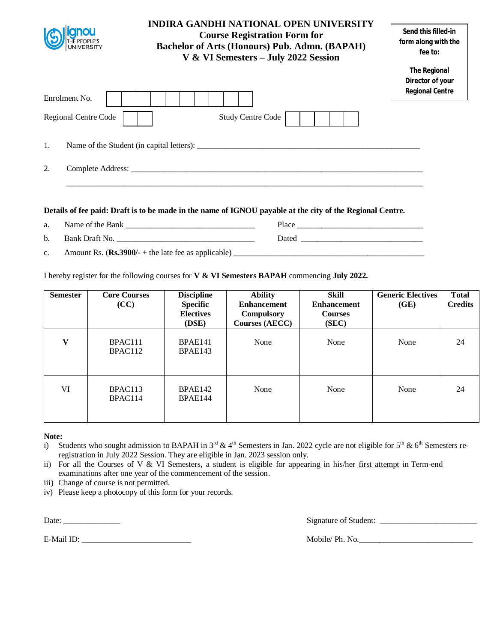| <b>INDIRA GANDHI NATIONAL OPEN UNIVERSITY</b><br><b>Course Registration Form for</b><br><b>Bachelor of Arts (Honours) Pub. Admn. (BAPAH)</b><br>V & VI Semesters - July 2022 Session |  |                          | Send this filled-in<br>form along with the<br>fee to:      |
|--------------------------------------------------------------------------------------------------------------------------------------------------------------------------------------|--|--------------------------|------------------------------------------------------------|
| Enrolment No.                                                                                                                                                                        |  |                          | The Regional<br>Director of your<br><b>Regional Centre</b> |
| Regional Centre Code                                                                                                                                                                 |  | <b>Study Centre Code</b> |                                                            |
| 1.                                                                                                                                                                                   |  |                          |                                                            |
| 2.                                                                                                                                                                                   |  |                          |                                                            |

- a. Name of the Bank **Department of the Sank** Place **Place**
- b. Bank Draft No. \_\_\_\_\_\_\_\_\_\_\_\_\_\_\_\_\_\_\_\_\_\_\_\_\_\_\_\_\_\_\_\_\_\_ Dated \_\_\_\_\_\_\_\_\_\_\_\_\_\_\_\_\_\_\_\_\_\_\_\_\_\_\_\_\_\_

c. Amount Rs.  $(\mathbf{Rs.3900/-} + \text{the late fee as applicable})$ 

I hereby register for the following courses for **V & VI Semesters BAPAH** commencing **July 2022.** 

| <b>Semester</b> | <b>Core Courses</b><br>(CC) | <b>Discipline</b><br><b>Specific</b><br><b>Electives</b><br>(DSE) | <b>Ability</b><br><b>Enhancement</b><br><b>Compulsory</b><br><b>Courses (AECC)</b> | <b>Skill</b><br><b>Enhancement</b><br><b>Courses</b><br>(SEC) | <b>Generic Electives</b><br>(GE) | <b>Total</b><br><b>Credits</b> |
|-----------------|-----------------------------|-------------------------------------------------------------------|------------------------------------------------------------------------------------|---------------------------------------------------------------|----------------------------------|--------------------------------|
| $\mathbf{V}$    | BPAC111<br>BPAC112          | BPAE141<br>BPAE143                                                | None                                                                               | None                                                          | None                             | 24                             |
| VI              | BPAC113<br>BPAC114          | BPAE142<br>BPAE144                                                | None                                                                               | None                                                          | None                             | 24                             |

## **Note:**

- i) Students who sought admission to BAPAH in  $3^{rd}$  & 4<sup>th</sup> Semesters in Jan. 2022 cycle are not eligible for  $5^{th}$  &  $6^{th}$  Semesters reregistration in July 2022 Session. They are eligible in Jan. 2023 session only.
- ii) For all the Courses of V & VI Semesters, a student is eligible for appearing in his/her first attempt in Term-end examinations after one year of the commencement of the session.
- iii) Change of course is not permitted.
- iv) Please keep a photocopy of this form for your records.

Date: \_\_\_\_\_\_\_\_\_\_\_\_\_\_ Signature of Student: \_\_\_\_\_\_\_\_\_\_\_\_\_\_\_\_\_\_\_\_\_\_\_\_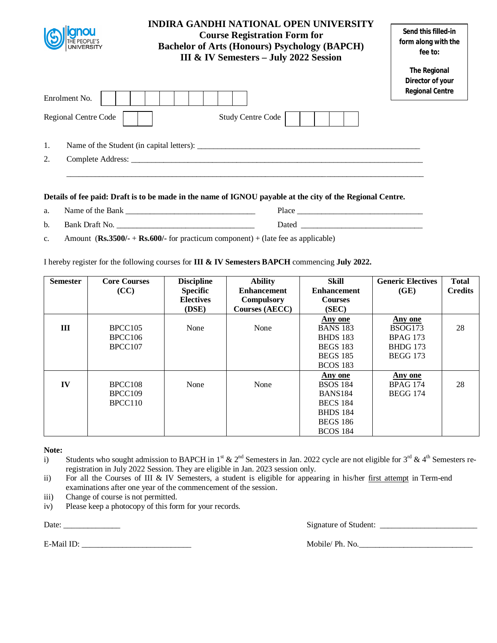|                      | INDIRA GANDHI NATIONAL OPEN UNIVERSITY<br><b>Course Registration Form for</b><br><b>Bachelor of Arts (Honours) Psychology (BAPCH)</b><br>III & IV Semesters - July 2022 Session | Send this filled-in<br>form along with the<br>fee to:             |
|----------------------|---------------------------------------------------------------------------------------------------------------------------------------------------------------------------------|-------------------------------------------------------------------|
| Enrolment No.        |                                                                                                                                                                                 | <b>The Regional</b><br>Director of your<br><b>Regional Centre</b> |
| Regional Centre Code | <b>Study Centre Code</b>                                                                                                                                                        |                                                                   |
| 1.<br>2.             | Name of the Student (in capital letters):<br>Complete Address:                                                                                                                  |                                                                   |
|                      |                                                                                                                                                                                 |                                                                   |

| ົ<br>a. |  | нас |  |
|---------|--|-----|--|
|         |  |     |  |

| b. |  | . |  |
|----|--|---|--|
|    |  |   |  |

c. Amount (**Rs.3500/-** + **Rs.600/-** for practicum component) + (late fee as applicable)

I hereby register for the following courses for **III & IV Semesters BAPCH** commencing **July 2022.** 

| <b>Semester</b> | <b>Core Courses</b> | <b>Discipline</b> | <b>Ability</b>     | Skill              | <b>Generic Electives</b> | <b>Total</b>   |
|-----------------|---------------------|-------------------|--------------------|--------------------|--------------------------|----------------|
|                 | (CC)                | <b>Specific</b>   | <b>Enhancement</b> | <b>Enhancement</b> | (GE)                     | <b>Credits</b> |
|                 |                     | <b>Electives</b>  | Compulsory         | <b>Courses</b>     |                          |                |
|                 |                     | (DSE)             | Courses (AECC)     | (SEC)              |                          |                |
|                 |                     |                   |                    | Any one            | Any one                  |                |
| Ш               | BPCC105             | None              | None               | <b>BANS 183</b>    | BSOG173                  | 28             |
|                 | BPCC106             |                   |                    | <b>BHDS</b> 183    | <b>BPAG 173</b>          |                |
|                 | BPCC <sub>107</sub> |                   |                    | <b>BEGS 183</b>    | <b>BHDG</b> 173          |                |
|                 |                     |                   |                    | <b>BEGS 185</b>    | <b>BEGG 173</b>          |                |
|                 |                     |                   |                    | <b>BCOS 183</b>    |                          |                |
|                 |                     |                   |                    | Any one            | Any one                  |                |
| IV              | BPCC <sub>108</sub> | None              | None               | <b>BSOS 184</b>    | <b>BPAG 174</b>          | 28             |
|                 | BPCC109             |                   |                    | <b>BANS184</b>     | <b>BEGG 174</b>          |                |
|                 | BPCC <sub>110</sub> |                   |                    | <b>BECS 184</b>    |                          |                |
|                 |                     |                   |                    | <b>BHDS</b> 184    |                          |                |
|                 |                     |                   |                    | <b>BEGS 186</b>    |                          |                |
|                 |                     |                   |                    | <b>BCOS 184</b>    |                          |                |

**Note:**

i) Students who sought admission to BAPCH in 1<sup>st</sup> & 2<sup>nd</sup> Semesters in Jan. 2022 cycle are not eligible for 3<sup>rd</sup> & 4<sup>th</sup> Semesters reregistration in July 2022 Session. They are eligible in Jan. 2023 session only.

- ii) For all the Courses of III & IV Semesters, a student is eligible for appearing in his/her first attempt in Term-end examinations after one year of the commencement of the session.
- iii) Change of course is not permitted.
- iv) Please keep a photocopy of this form for your records.

Date: \_\_\_\_\_\_\_\_\_\_\_\_\_\_ Signature of Student: \_\_\_\_\_\_\_\_\_\_\_\_\_\_\_\_\_\_\_\_\_\_\_\_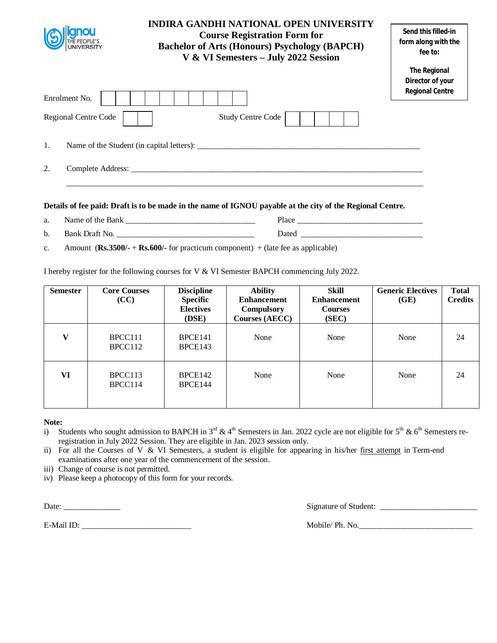| <b>Bachelor of Arts (Honours) Psychology (BAPCH)</b><br><b>UNIVERSITY</b><br>V & VI Semesters - July 2022 Session | form along with the<br>fee to:                                    |
|-------------------------------------------------------------------------------------------------------------------|-------------------------------------------------------------------|
| Enrolment No.                                                                                                     | <b>The Regional</b><br>Director of your<br><b>Regional Centre</b> |
| Regional Centre Code<br><b>Study Centre Code</b>                                                                  |                                                                   |
| 1.<br>Name of the Student (in capital letters):                                                                   |                                                                   |
| 2.                                                                                                                |                                                                   |

- a. Name of the Bank **Department** Place b. Bank Draft No. \_\_\_\_\_\_\_\_\_\_\_\_\_\_\_\_\_\_\_\_\_\_\_\_\_\_\_\_\_\_\_\_\_\_ Dated \_\_\_\_\_\_\_\_\_\_\_\_\_\_\_\_\_\_\_\_\_\_\_\_\_\_\_\_\_\_
- c. Amount (**Rs.3500/-** + **Rs.600/-** for practicum component) + (late fee as applicable)

I hereby register for the following courses for V & VI Semester BAPCH commencing July 2022.

| <b>Semester</b> | <b>Core Courses</b><br>(CC) | <b>Discipline</b><br><b>Specific</b><br><b>Electives</b><br>(DSE) | <b>Ability</b><br><b>Enhancement</b><br><b>Compulsory</b><br><b>Courses (AECC)</b> | <b>Skill</b><br><b>Enhancement</b><br><b>Courses</b><br>(SEC) | <b>Generic Electives</b><br>(GE) | <b>Total</b><br><b>Credits</b> |
|-----------------|-----------------------------|-------------------------------------------------------------------|------------------------------------------------------------------------------------|---------------------------------------------------------------|----------------------------------|--------------------------------|
| $\mathbf{V}$    | BPCC111<br>BPCC112          | BPCE141<br>BPCE143                                                | None                                                                               | None                                                          | None                             | 24                             |
| VI              | BPCC113<br>BPCC114          | BPCE142<br>BPCE144                                                | None                                                                               | None                                                          | None                             | 24                             |

## **Note:**

i) Students who sought admission to BAPCH in  $3^{rd}$  & 4<sup>th</sup> Semesters in Jan. 2022 cycle are not eligible for  $5^{th}$  & 6<sup>th</sup> Semesters reregistration in July 2022 Session. They are eligible in Jan. 2023 session only.

- ii) For all the Courses of V & VI Semesters, a student is eligible for appearing in his/her first attempt in Term-end examinations after one year of the commencement of the session.
- iii) Change of course is not permitted.
- iv) Please keep a photocopy of this form for your records.

Date: \_\_\_\_\_\_\_\_\_\_\_\_\_\_ Signature of Student: \_\_\_\_\_\_\_\_\_\_\_\_\_\_\_\_\_\_\_\_\_\_\_\_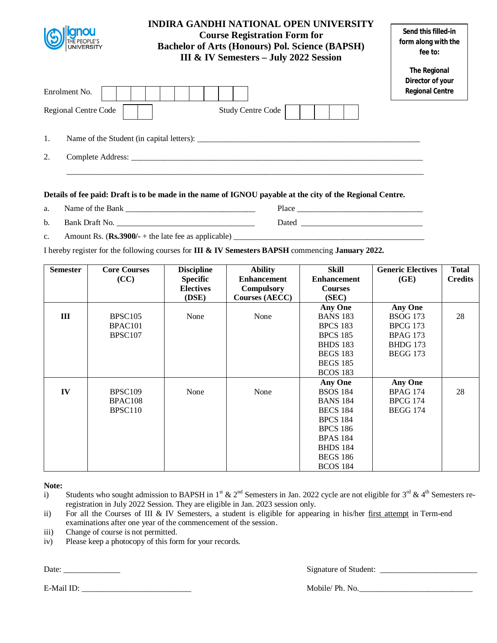| THE PEOPLE'S<br>UNIVERSITY | <b>INDIRA GANDHI NATIONAL OPEN UNIVERSITY</b><br><b>Course Registration Form for</b><br><b>Bachelor of Arts (Honours) Pol. Science (BAPSH)</b><br>III & IV Semesters - July 2022 Session | Send this filled-in<br>form along with the<br>fee to:             |
|----------------------------|------------------------------------------------------------------------------------------------------------------------------------------------------------------------------------------|-------------------------------------------------------------------|
| Enrolment No.              |                                                                                                                                                                                          | <b>The Regional</b><br>Director of your<br><b>Regional Centre</b> |
| Regional Centre Code       | <b>Study Centre Code</b>                                                                                                                                                                 |                                                                   |
| 1.                         |                                                                                                                                                                                          |                                                                   |
| 2.                         |                                                                                                                                                                                          |                                                                   |

- a. Name of the Bank \_\_\_\_\_\_\_\_\_\_\_\_\_\_\_\_\_\_\_\_\_\_\_\_\_\_\_\_\_\_\_\_ Place \_\_\_\_\_\_\_\_\_\_\_\_\_\_\_\_\_\_\_\_\_\_\_\_\_\_\_\_\_\_\_
- b. Bank Draft No. \_\_\_\_\_\_\_\_\_\_\_\_\_\_\_\_\_\_\_\_\_\_\_\_\_\_\_\_\_\_\_\_\_\_ Dated \_\_\_\_\_\_\_\_\_\_\_\_\_\_\_\_\_\_\_\_\_\_\_\_\_\_\_\_\_\_
- c. Amount Rs.  $(\text{Rs.3900/-} + \text{the late fee as applicable})$

I hereby register for the following courses for **III & IV Semesters BAPSH** commencing **January 2022.** 

| <b>Semester</b> | <b>Core Courses</b><br>(CC) | <b>Discipline</b><br><b>Specific</b> | <b>Ability</b><br><b>Enhancement</b> | Skill<br><b>Enhancement</b> | <b>Generic Electives</b><br>(GE) | <b>Total</b><br><b>Credits</b> |
|-----------------|-----------------------------|--------------------------------------|--------------------------------------|-----------------------------|----------------------------------|--------------------------------|
|                 |                             | <b>Electives</b>                     | Compulsory                           | <b>Courses</b>              |                                  |                                |
|                 |                             | (DSE)                                | <b>Courses (AECC)</b>                | (SEC)                       |                                  |                                |
|                 |                             |                                      |                                      | <b>Any One</b>              | <b>Any One</b>                   |                                |
| Ш               | BPSC <sub>105</sub>         | None                                 | None                                 | <b>BANS 183</b>             | <b>BSOG 173</b>                  | 28                             |
|                 | BPAC <sub>101</sub>         |                                      |                                      | <b>BPCS 183</b>             | <b>BPCG 173</b>                  |                                |
|                 | <b>BPSC107</b>              |                                      |                                      | <b>BPCS 185</b>             | <b>BPAG 173</b>                  |                                |
|                 |                             |                                      |                                      | <b>BHDS 183</b>             | <b>BHDG</b> 173                  |                                |
|                 |                             |                                      |                                      | <b>BEGS 183</b>             | <b>BEGG 173</b>                  |                                |
|                 |                             |                                      |                                      | <b>BEGS 185</b>             |                                  |                                |
|                 |                             |                                      |                                      | <b>BCOS 183</b>             |                                  |                                |
|                 |                             |                                      |                                      | <b>Any One</b>              | <b>Any One</b>                   |                                |
| IV              | BPSC <sub>109</sub>         | None                                 | None                                 | <b>BSOS 184</b>             | <b>BPAG 174</b>                  | 28                             |
|                 | BPAC <sub>108</sub>         |                                      |                                      | <b>BANS 184</b>             | <b>BPCG 174</b>                  |                                |
|                 | BPSC110                     |                                      |                                      | <b>BECS 184</b>             | <b>BEGG 174</b>                  |                                |
|                 |                             |                                      |                                      | <b>BPCS 184</b>             |                                  |                                |
|                 |                             |                                      |                                      | <b>BPCS 186</b>             |                                  |                                |
|                 |                             |                                      |                                      | <b>BPAS 184</b>             |                                  |                                |
|                 |                             |                                      |                                      | <b>BHDS 184</b>             |                                  |                                |
|                 |                             |                                      |                                      | <b>BEGS 186</b>             |                                  |                                |
|                 |                             |                                      |                                      | <b>BCOS 184</b>             |                                  |                                |

**Note:**

- i) Students who sought admission to BAPSH in 1<sup>st</sup> & 2<sup>nd</sup> Semesters in Jan. 2022 cycle are not eligible for 3<sup>rd</sup> & 4<sup>th</sup> Semesters reregistration in July 2022 Session. They are eligible in Jan. 2023 session only.
- ii) For all the Courses of III & IV Semesters, a student is eligible for appearing in his/her first attempt in Term-end examinations after one year of the commencement of the session.
- iii) Change of course is not permitted.
- iv) Please keep a photocopy of this form for your records.

Date: \_\_\_\_\_\_\_\_\_\_\_\_\_\_ Signature of Student: \_\_\_\_\_\_\_\_\_\_\_\_\_\_\_\_\_\_\_\_\_\_\_\_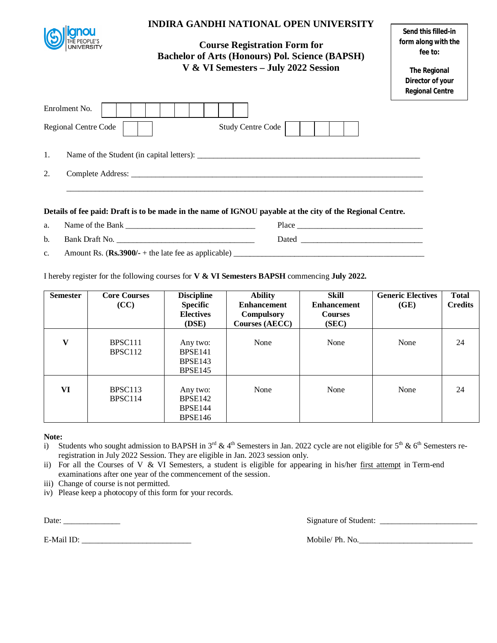| Enrolment No.<br>Regional Centre Code | <b>INDIRA GANDHI NATIONAL OPEN UNIVERSITY</b><br><b>Course Registration Form for</b><br><b>Bachelor of Arts (Honours) Pol. Science (BAPSH)</b><br>V & VI Semesters - July 2022 Session<br><b>Study Centre Code</b> | Send this filled-in<br>form along with the<br>fee to:<br><b>The Regional</b><br>Director of your<br><b>Regional Centre</b> |
|---------------------------------------|--------------------------------------------------------------------------------------------------------------------------------------------------------------------------------------------------------------------|----------------------------------------------------------------------------------------------------------------------------|
| 1.                                    |                                                                                                                                                                                                                    |                                                                                                                            |
| 2.                                    |                                                                                                                                                                                                                    |                                                                                                                            |
|                                       | Details of fee paid: Draft is to be made in the name of IGNOU payable at the city of the Regional Centre.                                                                                                          |                                                                                                                            |
| a.                                    |                                                                                                                                                                                                                    |                                                                                                                            |
| b.                                    | Bank Draft No.                                                                                                                                                                                                     |                                                                                                                            |
| $C_{\bullet}$                         |                                                                                                                                                                                                                    |                                                                                                                            |
|                                       | I hereby register for the following courses for $V & W$ Semesters BAPSH commencing July 2022.                                                                                                                      |                                                                                                                            |

| <b>Semester</b> | <b>Core Courses</b><br>(CC)                | <b>Discipline</b><br><b>Specific</b><br><b>Electives</b><br>(DSE) | <b>Ability</b><br><b>Enhancement</b><br>Compulsory<br><b>Courses (AECC)</b> | Skill<br><b>Enhancement</b><br><b>Courses</b><br>(SEC) | <b>Generic Electives</b><br>(GE) | <b>Total</b><br><b>Credits</b> |
|-----------------|--------------------------------------------|-------------------------------------------------------------------|-----------------------------------------------------------------------------|--------------------------------------------------------|----------------------------------|--------------------------------|
| V               | BPSC <sub>111</sub><br>BPSC <sub>112</sub> | Any two:<br>BPSE <sub>141</sub><br>BPSE143<br><b>BPSE145</b>      | None                                                                        | None                                                   | None                             | 24                             |
| VI              | BPSC <sub>113</sub><br>BPSC114             | Any two:<br>BPSE <sub>142</sub><br>BPSE144<br><b>BPSE146</b>      | None                                                                        | None                                                   | None                             | 24                             |

#### **Note:**

- i) Students who sought admission to BAPSH in  $3<sup>rd</sup>$  & 4<sup>th</sup> Semesters in Jan. 2022 cycle are not eligible for  $5<sup>th</sup>$  & 6<sup>th</sup> Semesters reregistration in July 2022 Session. They are eligible in Jan. 2023 session only.
- ii) For all the Courses of V & VI Semesters, a student is eligible for appearing in his/her first attempt in Term-end examinations after one year of the commencement of the session.
- iii) Change of course is not permitted.
- iv) Please keep a photocopy of this form for your records.

Date: \_\_\_\_\_\_\_\_\_\_\_\_\_\_ Signature of Student: \_\_\_\_\_\_\_\_\_\_\_\_\_\_\_\_\_\_\_\_\_\_\_\_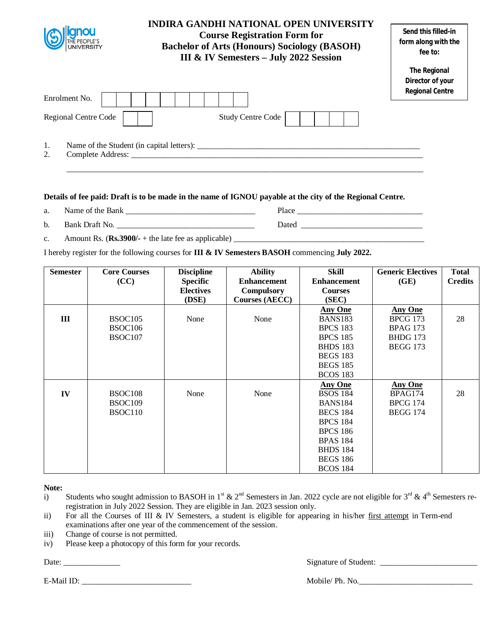| <b>UNIVERSITY</b>             | <b>INDIRA GANDHI NATIONAL OPEN UNIVERSITY</b><br><b>Course Registration Form for</b><br><b>Bachelor of Arts (Honours) Sociology (BASOH)</b><br>III & IV Semesters - July 2022 Session | Send this filled-in<br>form along with the<br>fee to:      |
|-------------------------------|---------------------------------------------------------------------------------------------------------------------------------------------------------------------------------------|------------------------------------------------------------|
| Enrolment No.                 |                                                                                                                                                                                       | The Regional<br>Director of your<br><b>Regional Centre</b> |
| Regional Centre Code          | <b>Study Centre Code</b>                                                                                                                                                              |                                                            |
| 1.<br>2.<br>Complete Address: |                                                                                                                                                                                       |                                                            |

\_\_\_\_\_\_\_\_\_\_\_\_\_\_\_\_\_\_\_\_\_\_\_\_\_\_\_\_\_\_\_\_\_\_\_\_\_\_\_\_\_\_\_\_\_\_\_\_\_\_\_\_\_\_\_\_\_\_\_\_\_\_\_\_\_\_\_\_\_\_\_\_\_\_\_\_\_\_\_\_\_\_\_\_\_\_\_\_

#### **Details of fee paid: Draft is to be made in the name of IGNOU payable at the city of the Regional Centre.**

- a. Name of the Bank \_\_\_\_\_\_\_\_\_\_\_\_\_\_\_\_\_\_\_\_\_\_\_\_\_\_\_\_\_\_\_\_ Place \_\_\_\_\_\_\_\_\_\_\_\_\_\_\_\_\_\_\_\_\_\_\_\_\_\_\_\_\_\_\_
- b. Bank Draft No. 2008 and the set of the set of the set of the set of the set of the set of the set of the set of the set of the set of the set of the set of the set of the set of the set of the set of the set of the set
- c. Amount Rs.  $(\mathbf{Rs.3900/-} + \text{the late fee as applicable})$

I hereby register for the following courses for **III & IV Semesters BASOH** commencing **July 2022.** 

| <b>Semester</b> | <b>Core Courses</b> | <b>Discipline</b> | <b>Ability</b>        | <b>Skill</b>       | <b>Generic Electives</b> | <b>Total</b>   |
|-----------------|---------------------|-------------------|-----------------------|--------------------|--------------------------|----------------|
|                 | (CC)                | <b>Specific</b>   | <b>Enhancement</b>    | <b>Enhancement</b> | (GE)                     | <b>Credits</b> |
|                 |                     | <b>Electives</b>  | <b>Compulsory</b>     | <b>Courses</b>     |                          |                |
|                 |                     | (DSE)             | <b>Courses (AECC)</b> | (SEC)              |                          |                |
|                 |                     |                   |                       | <b>Any One</b>     | <b>Any One</b>           |                |
| Ш               | BSOC <sub>105</sub> | None              | None                  | <b>BANS183</b>     | <b>BPCG 173</b>          | 28             |
|                 | BSOC <sub>106</sub> |                   |                       | <b>BPCS 183</b>    | <b>BPAG 173</b>          |                |
|                 | BSOC107             |                   |                       | <b>BPCS 185</b>    | <b>BHDG</b> 173          |                |
|                 |                     |                   |                       | <b>BHDS 183</b>    | <b>BEGG 173</b>          |                |
|                 |                     |                   |                       | <b>BEGS 183</b>    |                          |                |
|                 |                     |                   |                       | <b>BEGS 185</b>    |                          |                |
|                 |                     |                   |                       | <b>BCOS 183</b>    |                          |                |
|                 |                     |                   |                       | <b>Any One</b>     | <b>Any One</b>           |                |
| IV              | BSOC <sub>108</sub> | None              | None                  | <b>BSOS 184</b>    | BPAG174                  | 28             |
|                 | BSOC <sub>109</sub> |                   |                       | <b>BANS184</b>     | <b>BPCG 174</b>          |                |
|                 | BSOC110             |                   |                       | <b>BECS 184</b>    | <b>BEGG 174</b>          |                |
|                 |                     |                   |                       | <b>BPCS 184</b>    |                          |                |
|                 |                     |                   |                       | <b>BPCS 186</b>    |                          |                |
|                 |                     |                   |                       | <b>BPAS 184</b>    |                          |                |
|                 |                     |                   |                       | <b>BHDS 184</b>    |                          |                |
|                 |                     |                   |                       | <b>BEGS 186</b>    |                          |                |
|                 |                     |                   |                       | <b>BCOS 184</b>    |                          |                |

**Note:**

- i) Students who sought admission to BASOH in 1<sup>st</sup> & 2<sup>nd</sup> Semesters in Jan. 2022 cycle are not eligible for 3<sup>rd</sup> & 4<sup>th</sup> Semesters reregistration in July 2022 Session. They are eligible in Jan. 2023 session only.
- ii) For all the Courses of III & IV Semesters, a student is eligible for appearing in his/her first attempt in Term-end examinations after one year of the commencement of the session.
- iii) Change of course is not permitted.
- iv) Please keep a photocopy of this form for your records.

E-Mail ID: \_\_\_\_\_\_\_\_\_\_\_\_\_\_\_\_\_\_\_\_\_\_\_\_\_\_\_ Mobile/ Ph. No.\_\_\_\_\_\_\_\_\_\_\_\_\_\_\_\_\_\_\_\_\_\_\_\_\_\_\_\_

Date: \_\_\_\_\_\_\_\_\_\_\_\_\_\_ Signature of Student: \_\_\_\_\_\_\_\_\_\_\_\_\_\_\_\_\_\_\_\_\_\_\_\_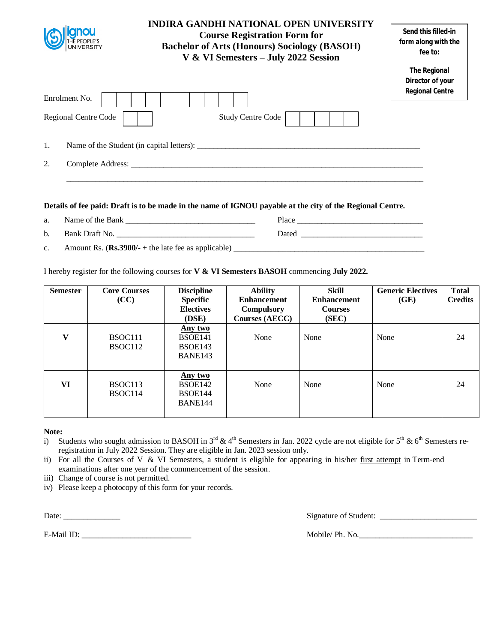|                      | <b>INDIRA GANDHI NATIONAL OPEN UNIVERSITY</b><br><b>Course Registration Form for</b><br><b>Bachelor of Arts (Honours) Sociology (BASOH)</b><br>V & VI Semesters - July 2022 Session | Send this filled-in<br>form along with the<br>fee to:             |
|----------------------|-------------------------------------------------------------------------------------------------------------------------------------------------------------------------------------|-------------------------------------------------------------------|
| Enrolment No.        |                                                                                                                                                                                     | <b>The Regional</b><br>Director of your<br><b>Regional Centre</b> |
| Regional Centre Code | <b>Study Centre Code</b>                                                                                                                                                            |                                                                   |
| 1.                   |                                                                                                                                                                                     |                                                                   |
| 2.                   |                                                                                                                                                                                     |                                                                   |
|                      |                                                                                                                                                                                     |                                                                   |

- a. Name of the Bank **Department** Place
- b. Bank Draft No. \_\_\_\_\_\_\_\_\_\_\_\_\_\_\_\_\_\_\_\_\_\_\_\_\_\_\_\_\_\_\_\_\_\_ Dated \_\_\_\_\_\_\_\_\_\_\_\_\_\_\_\_\_\_\_\_\_\_\_\_\_\_\_\_\_\_
- c. Amount Rs.  $(\mathbf{Rs.3900/-} + \text{the late fee as applicable})$

I hereby register for the following courses for **V & VI Semesters BASOH** commencing **July 2022.** 

| <b>Semester</b> | <b>Core Courses</b><br>(CC)    | <b>Discipline</b><br><b>Specific</b><br><b>Electives</b><br>(DSE) | <b>Ability</b><br><b>Enhancement</b><br><b>Compulsory</b><br><b>Courses (AECC)</b> | Skill<br><b>Enhancement</b><br><b>Courses</b><br>(SEC) | <b>Generic Electives</b><br>(GE) | <b>Total</b><br><b>Credits</b> |
|-----------------|--------------------------------|-------------------------------------------------------------------|------------------------------------------------------------------------------------|--------------------------------------------------------|----------------------------------|--------------------------------|
| $\mathbf{V}$    | BSOC111<br>BSOC <sub>112</sub> | Any two<br>BSOE141<br>BSOE143<br>BANE143                          | None                                                                               | None                                                   | None                             | 24                             |
| VI              | BSOC113<br>BSOC114             | <u>Any two</u><br>BSOE142<br><b>BSOE144</b><br>BANE144            | None                                                                               | None                                                   | None                             | 24                             |

## **Note:**

- i) Students who sought admission to BASOH in  $3^{rd}$  & 4<sup>th</sup> Semesters in Jan. 2022 cycle are not eligible for  $5^{th}$  & 6<sup>th</sup> Semesters reregistration in July 2022 Session. They are eligible in Jan. 2023 session only.
- ii) For all the Courses of V & VI Semesters, a student is eligible for appearing in his/her first attempt in Term-end examinations after one year of the commencement of the session.
- iii) Change of course is not permitted.
- iv) Please keep a photocopy of this form for your records.

Date: \_\_\_\_\_\_\_\_\_\_\_\_\_\_ Signature of Student: \_\_\_\_\_\_\_\_\_\_\_\_\_\_\_\_\_\_\_\_\_\_\_\_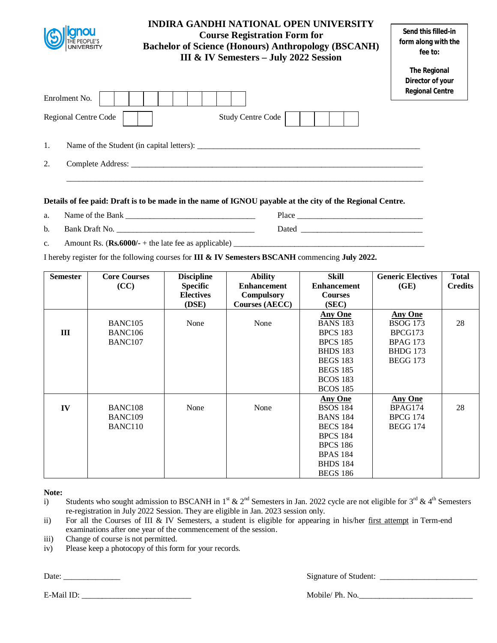|                         | <b>INDIRA GANDHI NATIONAL OPEN UNIVERSITY</b><br><b>Course Registration Form for</b><br><b>Bachelor of Science (Honours) Anthropology (BSCANH)</b><br>III & IV Semesters - July 2022 Session |                                                                   |
|-------------------------|----------------------------------------------------------------------------------------------------------------------------------------------------------------------------------------------|-------------------------------------------------------------------|
| Enrolment No.           |                                                                                                                                                                                              | <b>The Regional</b><br>Director of your<br><b>Regional Centre</b> |
| Regional Centre Code    | <b>Study Centre Code</b>                                                                                                                                                                     |                                                                   |
| 1.                      |                                                                                                                                                                                              |                                                                   |
| 2.<br>Complete Address: |                                                                                                                                                                                              |                                                                   |

- a. Name of the Bank \_\_\_\_\_\_\_\_\_\_\_\_\_\_\_\_\_\_\_\_\_\_\_\_\_\_\_\_\_\_\_\_ Place \_\_\_\_\_\_\_\_\_\_\_\_\_\_\_\_\_\_\_\_\_\_\_\_\_\_\_\_\_\_\_
- b. Bank Draft No. \_\_\_\_\_\_\_\_\_\_\_\_\_\_\_\_\_\_\_\_\_\_\_\_\_\_\_\_\_\_\_\_\_\_ Dated \_\_\_\_\_\_\_\_\_\_\_\_\_\_\_\_\_\_\_\_\_\_\_\_\_\_\_\_\_\_
- c. Amount Rs.  $(\text{Rs.6000/-} + \text{the late fee as applicable})$

I hereby register for the following courses for **III & IV Semesters BSCANH** commencing **July 2022.** 

| <b>Semester</b> | <b>Core Courses</b> | <b>Discipline</b> | <b>Ability</b>        | <b>Skill</b>       | <b>Generic Electives</b> | <b>Total</b>   |
|-----------------|---------------------|-------------------|-----------------------|--------------------|--------------------------|----------------|
|                 | (CC)                | <b>Specific</b>   | <b>Enhancement</b>    | <b>Enhancement</b> | (GE)                     | <b>Credits</b> |
|                 |                     | <b>Electives</b>  | <b>Compulsory</b>     | <b>Courses</b>     |                          |                |
|                 |                     | (DSE)             | <b>Courses (AECC)</b> | (SEC)              |                          |                |
|                 |                     |                   |                       | <b>Any One</b>     | <b>Any One</b>           |                |
|                 | BANC105             | None              | None                  | <b>BANS 183</b>    | <b>BSOG 173</b>          | 28             |
| Ш               | BANC <sub>106</sub> |                   |                       | <b>BPCS 183</b>    | BPCG173                  |                |
|                 | BANC <sub>107</sub> |                   |                       | <b>BPCS 185</b>    | <b>BPAG 173</b>          |                |
|                 |                     |                   |                       | <b>BHDS</b> 183    | <b>BHDG</b> 173          |                |
|                 |                     |                   |                       | <b>BEGS 183</b>    | <b>BEGG 173</b>          |                |
|                 |                     |                   |                       | <b>BEGS 185</b>    |                          |                |
|                 |                     |                   |                       | <b>BCOS 183</b>    |                          |                |
|                 |                     |                   |                       | <b>BCOS 185</b>    |                          |                |
|                 |                     |                   |                       | <b>Any One</b>     | <b>Any One</b>           |                |
| IV              | BANC <sub>108</sub> | None              | None                  | <b>BSOS 184</b>    | BPAG174                  | 28             |
|                 | BANC <sub>109</sub> |                   |                       | <b>BANS 184</b>    | <b>BPCG 174</b>          |                |
|                 | BANC110             |                   |                       | <b>BECS 184</b>    | <b>BEGG 174</b>          |                |
|                 |                     |                   |                       | <b>BPCS 184</b>    |                          |                |
|                 |                     |                   |                       | <b>BPCS 186</b>    |                          |                |
|                 |                     |                   |                       | <b>BPAS 184</b>    |                          |                |
|                 |                     |                   |                       | <b>BHDS 184</b>    |                          |                |
|                 |                     |                   |                       | <b>BEGS 186</b>    |                          |                |

**Note:**

- i) Students who sought admission to BSCANH in 1<sup>st</sup> & 2<sup>nd</sup> Semesters in Jan. 2022 cycle are not eligible for 3<sup>rd</sup> & 4<sup>th</sup> Semesters re-registration in July 2022 Session. They are eligible in Jan. 2023 session only.
- ii) For all the Courses of III & IV Semesters, a student is eligible for appearing in his/her first attempt in Term-end examinations after one year of the commencement of the session.
- iii) Change of course is not permitted.
- iv) Please keep a photocopy of this form for your records.

Date: \_\_\_\_\_\_\_\_\_\_\_\_\_\_ Signature of Student: \_\_\_\_\_\_\_\_\_\_\_\_\_\_\_\_\_\_\_\_\_\_\_\_

E-Mail ID: The Mobile/ Ph. No.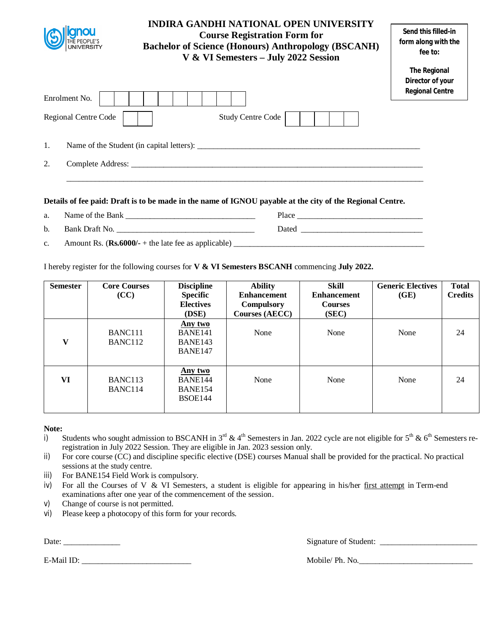|                      | <b>INDIRA GANDHI NATIONAL OPEN UNIVERSITY</b><br><b>Course Registration Form for</b><br><b>Bachelor of Science (Honours) Anthropology (BSCANH)</b><br>V & VI Semesters - July 2022 Session | Send this filled-in<br>form along with the<br>fee to:             |
|----------------------|--------------------------------------------------------------------------------------------------------------------------------------------------------------------------------------------|-------------------------------------------------------------------|
| Enrolment No.        |                                                                                                                                                                                            | <b>The Regional</b><br>Director of your<br><b>Regional Centre</b> |
| Regional Centre Code | <b>Study Centre Code</b>                                                                                                                                                                   |                                                                   |
| 1.                   | Name of the Student (in capital letters):                                                                                                                                                  |                                                                   |
| 2.                   |                                                                                                                                                                                            |                                                                   |
|                      |                                                                                                                                                                                            |                                                                   |

- a. Name of the Bank Place
- b. Bank Draft No. \_\_\_\_\_\_\_\_\_\_\_\_\_\_\_\_\_\_\_\_\_\_\_\_\_\_\_\_\_\_\_\_\_\_ Dated \_\_\_\_\_\_\_\_\_\_\_\_\_\_\_\_\_\_\_\_\_\_\_\_\_\_\_\_\_\_
- c. Amount Rs.  $(\text{Rs.6000/-} + \text{the late fee as applicable})$

I hereby register for the following courses for **V & VI Semesters BSCANH** commencing **July 2022.** 

| <b>Semester</b> | <b>Core Courses</b><br>(CC)                | <b>Discipline</b><br><b>Specific</b><br><b>Electives</b><br>(DSE) | <b>Ability</b><br><b>Enhancement</b><br><b>Compulsory</b><br><b>Courses (AECC)</b> | Skill<br><b>Enhancement</b><br><b>Courses</b><br>(SEC) | <b>Generic Electives</b><br>(GE) | <b>Total</b><br><b>Credits</b> |
|-----------------|--------------------------------------------|-------------------------------------------------------------------|------------------------------------------------------------------------------------|--------------------------------------------------------|----------------------------------|--------------------------------|
| V               | BANC <sub>111</sub><br>BANC <sub>112</sub> | Any two<br>BANE141<br>BANE143<br>BANE147                          | None                                                                               | None                                                   | None                             | 24                             |
| VI              | BANC <sub>113</sub><br>BANC <sub>114</sub> | Any two<br>BANE144<br>BANE154<br><b>BSOE144</b>                   | None                                                                               | None                                                   | None                             | 24                             |

## **Note:**

- i) Students who sought admission to BSCANH in  $3^{rd}$  & 4<sup>th</sup> Semesters in Jan. 2022 cycle are not eligible for  $5^{th}$  & 6<sup>th</sup> Semesters reregistration in July 2022 Session. They are eligible in Jan. 2023 session only.
- ii) For core course (CC) and discipline specific elective (DSE) courses Manual shall be provided for the practical. No practical sessions at the study centre.
- iii) For BANE154 Field Work is compulsory.
- iv) For all the Courses of V  $&$  VI Semesters, a student is eligible for appearing in his/her first attempt in Term-end examinations after one year of the commencement of the session.
- v) Change of course is not permitted.
- vi) Please keep a photocopy of this form for your records.

Date: \_\_\_\_\_\_\_\_\_\_\_\_\_\_ Signature of Student: \_\_\_\_\_\_\_\_\_\_\_\_\_\_\_\_\_\_\_\_\_\_\_\_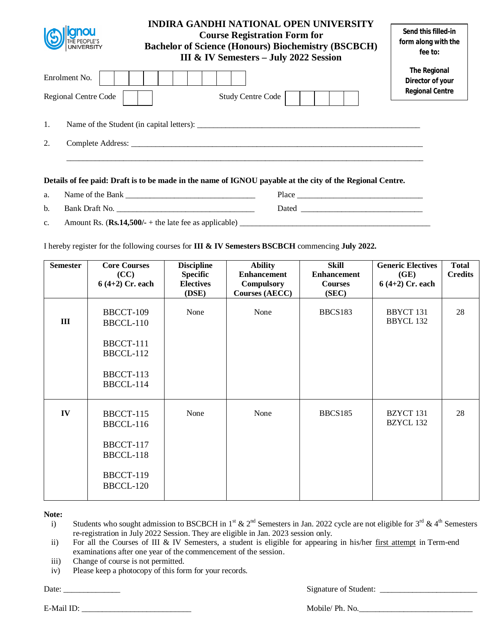| <b>UNIVERSITY</b>                            | INDIRA GANDHI NATIONAL OPEN UNIVERSITY<br><b>Course Registration Form for</b><br><b>Bachelor of Science (Honours) Biochemistry (BSCBCH)</b><br>III & IV Semesters - July 2022 Session | Send this filled-in<br>form along with the<br>fee to:             |
|----------------------------------------------|---------------------------------------------------------------------------------------------------------------------------------------------------------------------------------------|-------------------------------------------------------------------|
| Enrolment No.<br><b>Regional Centre Code</b> | <b>Study Centre Code</b>                                                                                                                                                              | <b>The Regional</b><br>Director of your<br><b>Regional Centre</b> |
| 1.                                           | Name of the Student (in capital letters):                                                                                                                                             |                                                                   |
| 2.                                           |                                                                                                                                                                                       |                                                                   |
|                                              |                                                                                                                                                                                       |                                                                   |

| a.             | Name of the Bank                                       | Place |
|----------------|--------------------------------------------------------|-------|
| b.             | Bank Draft No.                                         | Dated |
| $\mathbf{c}$ . | Amount Rs. $(Rs.14,500/+)$ the late fee as applicable) |       |

I hereby register for the following courses for **III & IV Semesters BSCBCH** commencing **July 2022.** 

| <b>Semester</b> | <b>Core Courses</b><br>(CC) | <b>Discipline</b><br><b>Specific</b> | <b>Ability</b><br><b>Enhancement</b>       | <b>Skill</b><br><b>Enhancement</b> | <b>Generic Electives</b><br>(GE)     | <b>Total</b><br><b>Credits</b> |
|-----------------|-----------------------------|--------------------------------------|--------------------------------------------|------------------------------------|--------------------------------------|--------------------------------|
|                 | $6(4+2)$ Cr. each           | <b>Electives</b><br>(DSE)            | <b>Compulsory</b><br><b>Courses (AECC)</b> | <b>Courses</b><br>(SEC)            | $6(4+2)$ Cr. each                    |                                |
| III             | BBCCT-109<br>BBCCL-110      | None                                 | None                                       | BBCS183                            | <b>BBYCT 131</b><br><b>BBYCL 132</b> | 28                             |
|                 | BBCCT-111<br>BBCCL-112      |                                      |                                            |                                    |                                      |                                |
|                 | BBCCT-113<br>BBCCL-114      |                                      |                                            |                                    |                                      |                                |
| IV              | BBCCT-115<br>BBCCL-116      | None                                 | None                                       | <b>BBCS185</b>                     | BZYCT 131<br>BZYCL 132               | 28                             |
|                 | BBCCT-117<br>BBCCL-118      |                                      |                                            |                                    |                                      |                                |
|                 | BBCCT-119<br>BBCCL-120      |                                      |                                            |                                    |                                      |                                |

**Note:**

i) Students who sought admission to BSCBCH in 1<sup>st</sup> & 2<sup>nd</sup> Semesters in Jan. 2022 cycle are not eligible for 3<sup>rd</sup> & 4<sup>th</sup> Semesters re-registration in July 2022 Session. They are eligible in Jan. 2023 session only.

ii) For all the Courses of III & IV Semesters, a student is eligible for appearing in his/her first attempt in Term-end examinations after one year of the commencement of the session.

- iii) Change of course is not permitted.
- iv) Please keep a photocopy of this form for your records.

Date: \_\_\_\_\_\_\_\_\_\_\_\_\_\_ Signature of Student: \_\_\_\_\_\_\_\_\_\_\_\_\_\_\_\_\_\_\_\_\_\_\_\_

E-Mail ID: The Mobile/ Ph. No.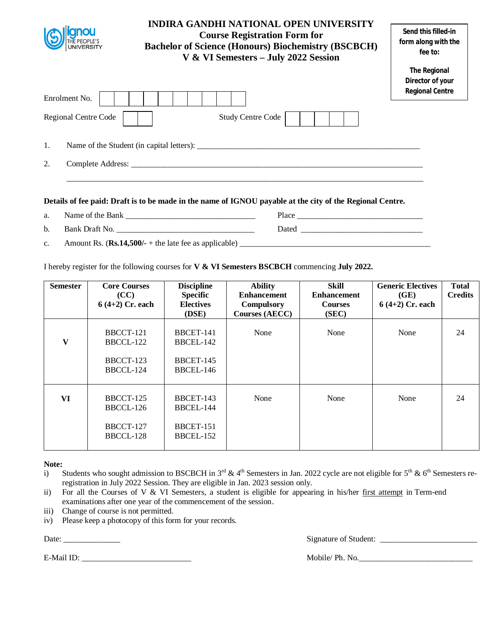|                      | <b>INDIRA GANDHI NATIONAL OPEN UNIVERSITY</b><br><b>Course Registration Form for</b><br><b>Bachelor of Science (Honours) Biochemistry (BSCBCH)</b><br>V & VI Semesters - July 2022 Session | Send this filled-in<br>form along with the<br>fee to:             |
|----------------------|--------------------------------------------------------------------------------------------------------------------------------------------------------------------------------------------|-------------------------------------------------------------------|
| Enrolment No.        |                                                                                                                                                                                            | <b>The Regional</b><br>Director of your<br><b>Regional Centre</b> |
| Regional Centre Code | <b>Study Centre Code</b>                                                                                                                                                                   |                                                                   |
| 1.                   | Name of the Student (in capital letters):                                                                                                                                                  |                                                                   |
| 2.                   |                                                                                                                                                                                            |                                                                   |
|                      |                                                                                                                                                                                            |                                                                   |

- a. Name of the Bank Place
- b. Bank Draft No. \_\_\_\_\_\_\_\_\_\_\_\_\_\_\_\_\_\_\_\_\_\_\_\_\_\_\_\_\_\_\_\_\_\_ Dated \_\_\_\_\_\_\_\_\_\_\_\_\_\_\_\_\_\_\_\_\_\_\_\_\_\_\_\_\_\_
- c. Amount Rs. (**Rs.14,500/-** + the late fee as applicable) \_\_\_\_\_\_\_\_\_\_\_\_\_\_\_\_\_\_\_\_\_\_\_\_\_\_\_\_\_\_\_\_\_\_\_\_\_\_\_\_\_\_\_\_\_\_\_

I hereby register for the following courses for **V & VI Semesters BSCBCH** commencing **July 2022.** 

| <b>Semester</b> | <b>Core Courses</b><br>(CC)<br>$6(4+2)$ Cr. each | <b>Discipline</b><br><b>Specific</b><br><b>Electives</b> | <b>Ability</b><br><b>Enhancement</b><br>Compulsory | <b>Skill</b><br><b>Enhancement</b><br><b>Courses</b> | <b>Generic Electives</b><br>(GE)<br>$6(4+2)$ Cr. each | <b>Total</b><br><b>Credits</b> |
|-----------------|--------------------------------------------------|----------------------------------------------------------|----------------------------------------------------|------------------------------------------------------|-------------------------------------------------------|--------------------------------|
|                 |                                                  | (DSE)                                                    | <b>Courses (AECC)</b>                              | (SEC)                                                |                                                       |                                |
| $\mathbf{V}$    | BBCCT-121<br>BBCCL-122<br>BBCCT-123<br>BBCCL-124 | BBCET-141<br>BBCEL-142<br>BBCET-145<br>BBCEL-146         | None                                               | None                                                 | None                                                  | 24                             |
| VI              | BBCCT-125<br>BBCCL-126<br>BBCCT-127<br>BBCCL-128 | <b>BBCET-143</b><br>BBCEL-144<br>BBCET-151<br>BBCEL-152  | None                                               | None                                                 | None                                                  | 24                             |

## **Note:**

- i) Students who sought admission to BSCBCH in  $3<sup>rd</sup>$  & 4<sup>th</sup> Semesters in Jan. 2022 cycle are not eligible for  $5<sup>th</sup>$  & 6<sup>th</sup> Semesters reregistration in July 2022 Session. They are eligible in Jan. 2023 session only.
- ii) For all the Courses of V & VI Semesters, a student is eligible for appearing in his/her first attempt in Term-end examinations after one year of the commencement of the session.
- iii) Change of course is not permitted.
- iv) Please keep a photocopy of this form for your records.

Date: \_\_\_\_\_\_\_\_\_\_\_\_\_\_ Signature of Student: \_\_\_\_\_\_\_\_\_\_\_\_\_\_\_\_\_\_\_\_\_\_\_\_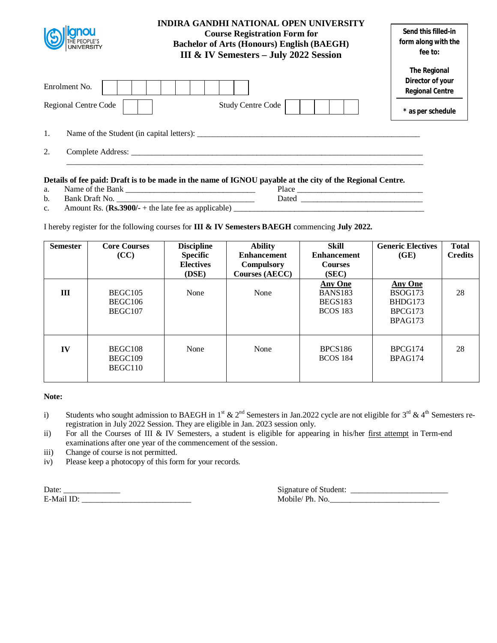| <b>gnou</b><br><b>THE PEOPLE'S</b><br>UNIVERSITY | <b>INDIRA GANDHI NATIONAL OPEN UNIVERSITY</b><br><b>Course Registration Form for</b><br><b>Bachelor of Arts (Honours) English (BAEGH)</b><br>III & IV Semesters - July 2022 Session | Send this filled-in<br>form along with the<br>fee to:                                  |
|--------------------------------------------------|-------------------------------------------------------------------------------------------------------------------------------------------------------------------------------------|----------------------------------------------------------------------------------------|
| Enrolment No.<br>Regional Centre Code            | <b>Study Centre Code</b>                                                                                                                                                            | <b>The Regional</b><br>Director of your<br><b>Regional Centre</b><br>* as per schedule |
| 1.                                               |                                                                                                                                                                                     |                                                                                        |
| 2.                                               |                                                                                                                                                                                     |                                                                                        |

# **Details of fee paid: Draft is to be made in the name of IGNOU payable at the city of the Regional Centre.**<br> **a.** Name of the Bank <u>Contract of the Call of the Bank</u> Place <u>Place</u>

- a. Name of the Bank \_\_\_\_\_\_\_\_\_\_\_\_\_\_\_\_\_\_\_\_\_\_\_\_\_\_\_\_\_\_\_\_ Place \_\_\_\_\_\_\_\_\_\_\_\_\_\_\_\_\_\_\_\_\_\_\_\_\_\_\_\_\_\_\_
	-
- b. Bank Draft No. \_\_\_\_\_\_\_\_\_\_\_\_\_\_\_\_\_\_\_\_\_\_\_\_\_\_\_\_\_\_\_\_\_\_ Dated \_\_\_\_\_\_\_\_\_\_\_\_\_\_\_\_\_\_\_\_\_\_\_\_\_\_\_\_\_\_
- 
- c. Amount Rs. (**Rs.3900/-** + the late fee as applicable) \_\_\_\_\_\_\_\_\_\_\_\_\_\_\_\_\_\_\_\_\_\_\_\_\_\_\_\_\_\_\_\_\_\_\_\_\_\_\_\_\_\_\_\_\_\_\_

I hereby register for the following courses for **III & IV Semesters BAEGH** commencing **July 2022.**

| <b>Semester</b> | <b>Core Courses</b><br>(CC)   | <b>Discipline</b><br><b>Specific</b><br><b>Electives</b><br>(DSE) | <b>Ability</b><br><b>Enhancement</b><br><b>Compulsory</b><br>Courses (AECC) | <b>Skill</b><br><b>Enhancement</b><br><b>Courses</b><br>(SEC)  | <b>Generic Electives</b><br>(GE)                           | <b>Total</b><br><b>Credits</b> |
|-----------------|-------------------------------|-------------------------------------------------------------------|-----------------------------------------------------------------------------|----------------------------------------------------------------|------------------------------------------------------------|--------------------------------|
| Ш               | BEGC105<br>BEGC106<br>BEGC107 | None                                                              | None                                                                        | <b>Any One</b><br><b>BANS183</b><br>BEGS183<br><b>BCOS</b> 183 | <b>Any One</b><br>BSOG173<br>BHDG173<br>BPCG173<br>BPAG173 | 28                             |
| IV              | BEGC108<br>BEGC109<br>BEGC110 | None                                                              | None                                                                        | BPCS186<br><b>BCOS 184</b>                                     | BPCG174<br>BPAG174                                         | 28                             |

## **Note:**

- i) Students who sought admission to BAEGH in 1st  $\& 2^{nd}$  Semesters in Jan.2022 cycle are not eligible for 3<sup>rd</sup>  $\& 4^{th}$  Semesters reregistration in July 2022 Session. They are eligible in Jan. 2023 session only.
- ii) For all the Courses of III & IV Semesters, a student is eligible for appearing in his/her first attempt in Term-end examinations after one year of the commencement of the session.
- iii) Change of course is not permitted.
- iv) Please keep a photocopy of this form for your records.

| Date:  | OL<br>чаеть.                                                      |
|--------|-------------------------------------------------------------------|
| E-Mail | Ph<br>∩hil∈<br>N<br>$\sim$<br>the contract of the contract of the |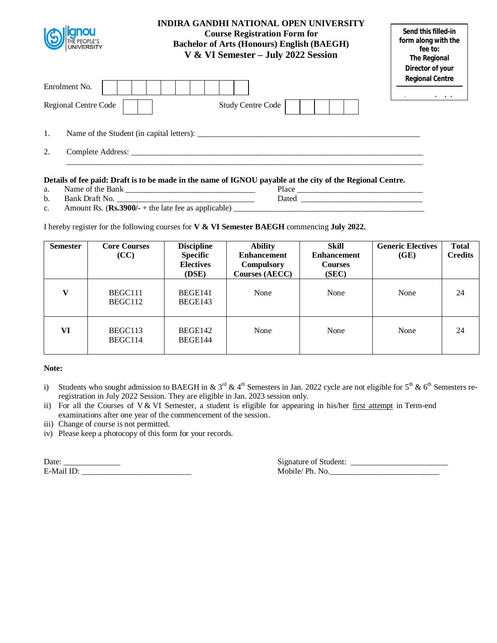| gnou<br>THE PEOPLE'S<br>UNIVERSITY           | <b>INDIRA GANDHI NATIONAL OPEN UNIVERSITY</b><br><b>Course Registration Form for</b><br><b>Bachelor of Arts (Honours) English (BAEGH)</b><br>V & VI Semester - July 2022 Session | Send this filled-in<br>form along with the<br>fee to:<br><b>The Regional</b><br>Director of your |
|----------------------------------------------|----------------------------------------------------------------------------------------------------------------------------------------------------------------------------------|--------------------------------------------------------------------------------------------------|
| Enrolment No.<br><b>Regional Centre Code</b> | <b>Study Centre Code</b>                                                                                                                                                         | <b>Regional Centre</b>                                                                           |
| 1.                                           | Name of the Student (in capital letters):                                                                                                                                        |                                                                                                  |
| 2.<br>Complete Address:                      |                                                                                                                                                                                  |                                                                                                  |

a. Name of the Bank \_\_\_\_\_\_\_\_\_\_\_\_\_\_\_\_\_\_\_\_\_\_\_\_\_\_\_\_\_\_\_\_ Place \_\_\_\_\_\_\_\_\_\_\_\_\_\_\_\_\_\_\_\_\_\_\_\_\_\_\_\_\_\_\_

b. Bank Draft No. \_\_\_\_\_\_\_\_\_\_\_\_\_\_\_\_\_\_\_\_\_\_\_\_\_\_\_\_\_\_\_\_\_\_ Dated \_\_\_\_\_\_\_\_\_\_\_\_\_\_\_\_\_\_\_\_\_\_\_\_\_\_\_\_\_\_

| Amount Rs. $(Rs.3900/- +$ the late fee as applicable) |  |
|-------------------------------------------------------|--|
|                                                       |  |

I hereby register for the following courses for **V & VI Semester BAEGH** commencing **July 2022.**

| <b>Semester</b> | <b>Core Courses</b><br>(CC) | <b>Discipline</b><br><b>Specific</b><br><b>Electives</b><br>(DSE) | <b>Ability</b><br><b>Enhancement</b><br><b>Compulsory</b><br><b>Courses (AECC)</b> | Skill<br><b>Enhancement</b><br><b>Courses</b><br>(SEC) | <b>Generic Electives</b><br>(GE) | <b>Total</b><br><b>Credits</b> |
|-----------------|-----------------------------|-------------------------------------------------------------------|------------------------------------------------------------------------------------|--------------------------------------------------------|----------------------------------|--------------------------------|
| V               | BEGC111<br>BEGC112          | BEGE141<br>BEGE143                                                | None                                                                               | None                                                   | None                             | 24                             |
| VI              | BEGC113<br>BEGC114          | BEGE142<br>BEGE144                                                | None                                                                               | None                                                   | None                             | 24                             |

## **Note:**

- i) Students who sought admission to BAEGH in & 3<sup>rd</sup> & 4<sup>th</sup> Semesters in Jan. 2022 cycle are not eligible for 5<sup>th</sup> & 6<sup>th</sup> Semesters reregistration in July 2022 Session. They are eligible in Jan. 2023 session only.
- ii) For all the Courses of V & VI Semester, a student is eligible for appearing in his/her first attempt in Term-end examinations after one year of the commencement of the session.
- iii) Change of course is not permitted.
- iv) Please keep a photocopy of this form for your records.

| Date:      |  |  |
|------------|--|--|
| E-Mail ID: |  |  |

| Date:<br>_____ | - -<br>ur<br>$^{\circ}$<br>udent.                                |
|----------------|------------------------------------------------------------------|
| E-Mai          | Ph<br>obile/<br>NG<br>11.<br>the contract of the contract of the |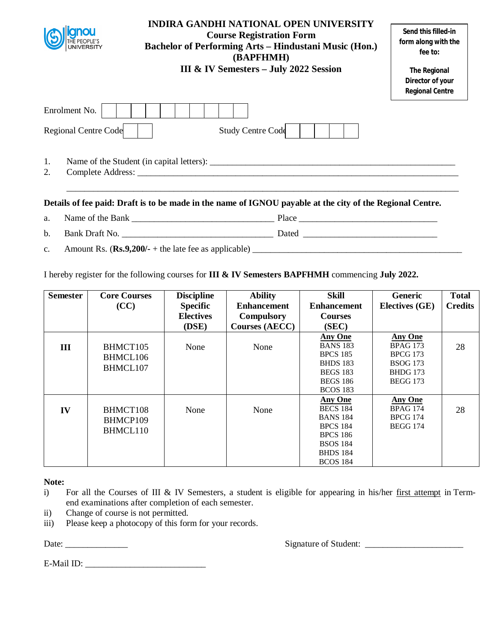|               |                                       | <b>INDIRA GANDHI NATIONAL OPEN UNIVERSITY</b><br><b>Course Registration Form</b><br><b>Bachelor of Performing Arts - Hindustani Music (Hon.)</b><br>(BAPFHMH)<br><b>III &amp; IV Semesters - July 2022 Session</b> | Send this filled-in<br>form along with the<br>fee to:<br><b>The Regional</b><br>Director of your<br><b>Regional Centre</b> |
|---------------|---------------------------------------|--------------------------------------------------------------------------------------------------------------------------------------------------------------------------------------------------------------------|----------------------------------------------------------------------------------------------------------------------------|
|               | Enrolment No.<br>Regional Centre Code | <b>Study Centre Code</b>                                                                                                                                                                                           |                                                                                                                            |
| 1.<br>2.      |                                       |                                                                                                                                                                                                                    |                                                                                                                            |
|               |                                       | Details of fee paid: Draft is to be made in the name of IGNOU payable at the city of the Regional Centre.                                                                                                          |                                                                                                                            |
| a.            |                                       |                                                                                                                                                                                                                    |                                                                                                                            |
| b.            |                                       | Bank Draft No.                                                                                                                                                                                                     |                                                                                                                            |
| $C_{\bullet}$ |                                       |                                                                                                                                                                                                                    |                                                                                                                            |

I hereby register for the following courses for **III & IV Semesters BAPFHMH** commencing **July 2022.** 

| <b>Semester</b> | <b>Core Courses</b> | <b>Discipline</b> | <b>Ability</b>        | Skill              | <b>Generic</b>        | <b>Total</b>   |
|-----------------|---------------------|-------------------|-----------------------|--------------------|-----------------------|----------------|
|                 | (CC)                | <b>Specific</b>   | <b>Enhancement</b>    | <b>Enhancement</b> | <b>Electives (GE)</b> | <b>Credits</b> |
|                 |                     | <b>Electives</b>  | <b>Compulsory</b>     | <b>Courses</b>     |                       |                |
|                 |                     | (DSE)             | <b>Courses (AECC)</b> | (SEC)              |                       |                |
|                 |                     |                   |                       | <b>Any One</b>     | <b>Any One</b>        |                |
| Ш               | BHMCT105            | None              | None                  | <b>BANS 183</b>    | <b>BPAG 173</b>       | 28             |
|                 | BHMCL106            |                   |                       | <b>BPCS 185</b>    | <b>BPCG 173</b>       |                |
|                 | BHMCL107            |                   |                       | <b>BHDS 183</b>    | <b>BSOG</b> 173       |                |
|                 |                     |                   |                       | <b>BEGS 183</b>    | <b>BHDG</b> 173       |                |
|                 |                     |                   |                       | <b>BEGS 186</b>    | <b>BEGG 173</b>       |                |
|                 |                     |                   |                       | <b>BCOS 183</b>    |                       |                |
|                 |                     |                   |                       | <b>Any One</b>     | <b>Any One</b>        |                |
| IV              | BHMCT108            | None              | None                  | <b>BECS 184</b>    | <b>BPAG 174</b>       | 28             |
|                 | BHMCP109            |                   |                       | <b>BANS 184</b>    | <b>BPCG 174</b>       |                |
|                 | BHMCL110            |                   |                       | <b>BPCS 184</b>    | <b>BEGG 174</b>       |                |
|                 |                     |                   |                       | <b>BPCS 186</b>    |                       |                |
|                 |                     |                   |                       | <b>BSOS 184</b>    |                       |                |
|                 |                     |                   |                       | <b>BHDS</b> 184    |                       |                |
|                 |                     |                   |                       | <b>BCOS 184</b>    |                       |                |

Note:<br>i)

- For all the Courses of III & IV Semesters, a student is eligible for appearing in his/her first attempt in Termend examinations after completion of each semester.
- ii) Change of course is not permitted.
- iii) Please keep a photocopy of this form for your records.

Date: \_\_\_\_\_\_\_\_\_\_\_\_\_\_ Signature of Student: \_\_\_\_\_\_\_\_\_\_\_\_\_\_\_\_\_\_\_\_\_\_

E-Mail ID: \_\_\_\_\_\_\_\_\_\_\_\_\_\_\_\_\_\_\_\_\_\_\_\_\_\_\_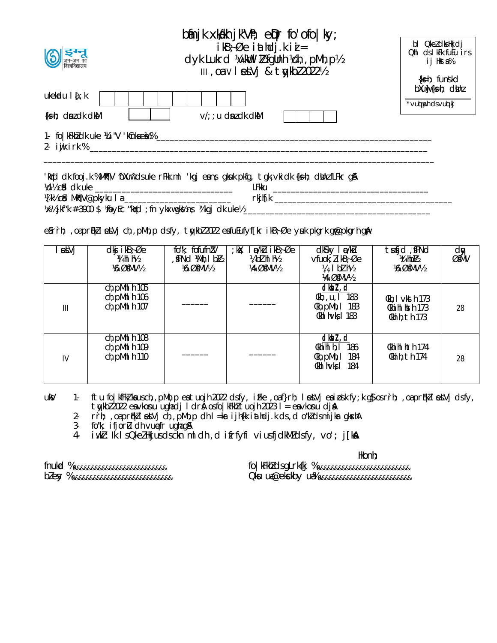| binjk xkikh jk"Vh; e $\rho$ r fo'ofo ky;                                                                                                                           |                                                                            |
|--------------------------------------------------------------------------------------------------------------------------------------------------------------------|----------------------------------------------------------------------------|
| $ikB$ ; $\emptyset$ e i athdj.k i $i =$<br>$\bigodot$ $\sum_{\text{at-} \text{at}}$<br>dyk Lukrd World I & fgunh Vch, , pMh, p1/2<br>III, Oalv   etVj & tykbl2022½ | bl QkeldksHkjdj<br>Ohl ds I kFk futu irs<br>ij Hksta%<br>$\{k\}$ h; funskd |
| ukekadu $\int f$ k<br>$\{k=h; \text{ d}n \in \mathbb{N} \}$<br>$V/$ ; ; u dn dk dkM                                                                                | $b$ Xuw $\{ks=h;$ dunz<br>*vud ph ds vud kj                                |
| 1- fo   kFkhZ clk uke 14 i "V 'kCnka ebt % _                                                                                                                       |                                                                            |

|                                | kiyi'd dik fooj.k %Mt¶V ^bXunîdsuke rFkk ml 'kgjeanş gikuk pkfg, tgk;vkidk {ks=h; dilinzfLFkr gj&' |         |  |  |
|--------------------------------|----------------------------------------------------------------------------------------------------|---------|--|--|
| %d½ cid dk uke                 |                                                                                                    | LFkku   |  |  |
| %[k½c\$d Mik¶V@pkyku I a _____ |                                                                                                    | rkjh[k] |  |  |
|                                | ※½jkf"k #–3900 \$ ¼oyEc "kird ;fn ykxwgk½n; ¼kgj dk uke½                                           |         |  |  |

e Srrh; ,oa pr fikZ letVj ch,,pMh,p ds fy, tykbZ 2022 e sfuEufyf[kr ikB ;Øe y uk pkgrk g plepkgrh g pl

| etVj | $dkj$ i $kB$ ; Øe<br>$\frac{1}{4}$ hi h $\frac{1}{2}$<br><b>16 ØfMV12</b> | fo"k; fofufn!V<br>, \$PNd ¼Mh, I b½<br><b>16 ØfMV12</b> | ;k)(; Ino/k)Lu ikB;Øe<br>14 b1 h1 h1/2<br><b>14 ØfMV12</b> | dksky lowku<br>$\mathsf{v}$ fuok; $l$ i kB $\div \emptyset$ e<br>¼, I b1 h½<br><b>14 ØfMV12</b> | tufid, PNd<br><b>Vathbl2</b><br><b>16 ØfMV12</b>            | dy<br>ØMV |
|------|---------------------------------------------------------------------------|---------------------------------------------------------|------------------------------------------------------------|-------------------------------------------------------------------------------------------------|-------------------------------------------------------------|-----------|
| III  | $ch$ , pMhI $h$ 105<br>$ch$ , pMhI $h$ 106<br>ch, pMhl h 107              |                                                         |                                                            | dkbl, d<br>Ckh, , u, I 183<br>$Ckh$ , p $Mh$ , l 183<br>$CkhI$ h $Vk$ $I$ 183                   | $Ckh$ , I $vksth$ 173<br>Ckhi hl hsth 173<br>Ckhi h, th 173 | 28        |
| IV   | $ch$ , pMhI $h$ 108<br>ch, pMhI h 109<br>$ch$ , pMhI $h$ 110              |                                                         |                                                            | dkbl, d<br>Ckhi h1 h, I 186<br>$Ckh$ , p $Mh$ , l 184<br>$CkhI$ h $Vk$ $I$ 184                  | Ckhi hI hth 174<br>Ckhi h, th 174                           | 28        |

ukV 1- ftu fo|kfFkZ;ka us ch,,pMh,p eatuojh 2022 dsfy, iFke ,oaf}rh; letVj eai osk fy;k g}os r `rh; ,oa pr qFkZ letVj ds fy, tykbZ 2022 e svko snu ughadj ldr & os fo|kFkhZ tuojh 2023 l= e svko snu djaA

2- rrh; ,oa pr nikl et Vj ch,,pMh,p dh l=kr ijh{kk iathdj.k ds ,d o"kZ d s mijk r gk skhA

3- fo"k; ifjorlu dh vunefr ughag&

4- iw.k :Ik Is Qke Z Hkjus ds ckn mldh,d ifrfyfi vius fjdkMZ dsfy, vo'; j[knA

Hkonh;

fnukad % &&&&&&&&&&&&&&&&&&&&&&&&&& fo|kFkh Z d s gLrk{kj % &&&&&&&&&&&&&&&&&&&&&&&&&& bZ e sy % &&&&&&&&&&&&&&&&&&&&&&&&&&&& Qk su ua-@ek sckby u a-% &&&&&&&&&&&&&&&&&&&&&&&&&&